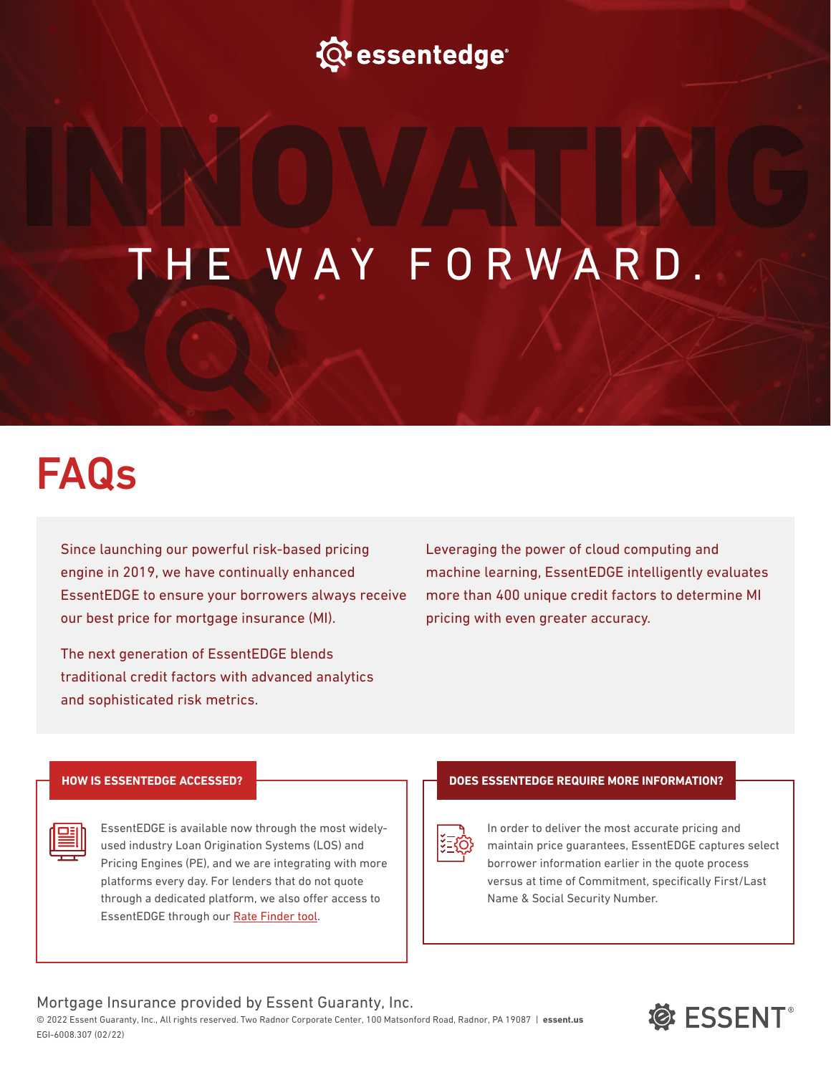

# THE WAY FORWARD.

## FAQs

Since launching our powerful risk-based pricing engine in 2019, we have continually enhanced EssentEDGE to ensure your borrowers always receive our best price for mortgage insurance (MI).

The next generation of EssentEDGE blends traditional credit factors with advanced analytics and sophisticated risk metrics.

Leveraging the power of cloud computing and machine learning, EssentEDGE intelligently evaluates more than 400 unique credit factors to determine MI pricing with even greater accuracy.

#### **HOW IS ESSENTEDGE ACCESSED?**

| EssentEDGE is available now through the most widely-   |
|--------------------------------------------------------|
| used industry Loan Origination Systems (LOS) and       |
| Pricing Engines (PE), and we are integrating with more |
| platforms every day. For lenders that do not quote     |
| through a dedicated platform, we also offer access to  |
| EssentEDGE through our Rate Finder tool.               |

#### **DOES ESSENTEDGE REQUIRE MORE INFORMATION?**



In order to deliver the most accurate pricing and maintain price guarantees, EssentEDGE captures select borrower information earlier in the quote process versus at time of Commitment, specifically First/Last Name & Social Security Number.

#### Mortgage Insurance provided by Essent Guaranty, Inc.

© 2022 Essent Guaranty, Inc., All rights reserved. Two Radnor Corporate Center, 100 Matsonford Road, Radnor, PA 19087 | **[essent.us](http:// essent.us)** EGI-6008.307 (02/22)